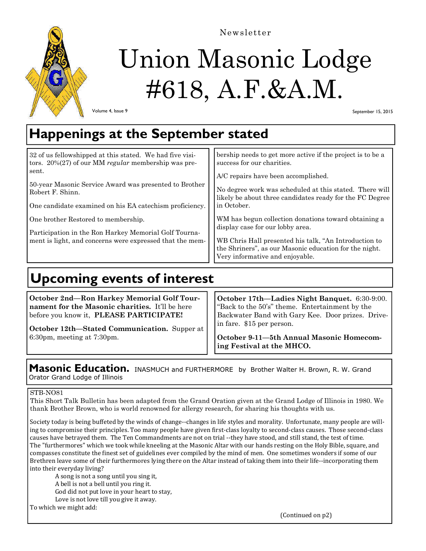

Newsletter

# Union Masonic Lodge #618, A.F.&A.M.

Volume 4, Issue 9

September 15, 2015

## **Happenings at the September stated**

| 32 of us fellowshipped at this stated. We had five visi-<br>tors. $20\%(27)$ of our MM regular membership was pre-<br>sent.<br>50-year Masonic Service Award was presented to Brother<br>Robert F. Shinn.<br>One candidate examined on his EA catechism proficiency.<br>One brother Restored to membership.<br>Participation in the Ron Harkey Memorial Golf Tourna-<br>ment is light, and concerns were expressed that the mem- | bership needs to get more active if the project is to be a<br>success for our charities.<br>A/C repairs have been accomplished.<br>No degree work was scheduled at this stated. There will<br>likely be about three candidates ready for the FC Degree<br>in October.<br>WM has begun collection donations toward obtaining a<br>display case for our lobby area.<br>WB Chris Hall presented his talk, "An Introduction to<br>the Shriners", as our Masonic education for the night.<br>Very informative and enjoyable. |
|----------------------------------------------------------------------------------------------------------------------------------------------------------------------------------------------------------------------------------------------------------------------------------------------------------------------------------------------------------------------------------------------------------------------------------|-------------------------------------------------------------------------------------------------------------------------------------------------------------------------------------------------------------------------------------------------------------------------------------------------------------------------------------------------------------------------------------------------------------------------------------------------------------------------------------------------------------------------|
|----------------------------------------------------------------------------------------------------------------------------------------------------------------------------------------------------------------------------------------------------------------------------------------------------------------------------------------------------------------------------------------------------------------------------------|-------------------------------------------------------------------------------------------------------------------------------------------------------------------------------------------------------------------------------------------------------------------------------------------------------------------------------------------------------------------------------------------------------------------------------------------------------------------------------------------------------------------------|

# **Upcoming events of interest**

**October 2nd—Ron Harkey Memorial Golf Tournament for the Masonic charities.** It'll be here before you know it, **PLEASE PARTICIPATE!** 

**October 12th—Stated Communication.** Supper at 6:30pm, meeting at 7:30pm.

**October 17th—Ladies Night Banquet.** 6:30-9:00. "Back to the 50's" theme. Entertainment by the Backwater Band with Gary Kee. Door prizes. Drivein fare. \$15 per person.

**October 9-11—5th Annual Masonic Homecoming Festival at the MHCO.** 

### **Masonic Education.** INASMUCH and FURTHERMORE by Brother Walter H. Brown, R. W. Grand Orator Grand Lodge of Illinois

### STB-NO81

This Short Talk Bulletin has been adapted from the Grand Oration given at the Grand Lodge of Illinois in 1980. We thank Brother Brown, who is world renowned for allergy research, for sharing his thoughts with us.

Society today is being buffeted by the winds of change--changes in life styles and morality. Unfortunate, many people are willing to compromise their principles. Too many people have given first-class loyalty to second-class causes. Those second-class causes have betrayed them. The Ten Commandments are not on trial --they have stood, and still stand, the test of time. The "furthermores" which we took while kneeling at the Masonic Altar with our hands resting on the Holy Bible, square, and compasses constitute the finest set of guidelines ever compiled by the mind of men. One sometimes wonders if some of our Brethren leave some of their furthermores lying there on the Altar instead of taking them into their life--incorporating them into their everyday living?

A song is not a song until you sing it, A bell is not a bell until you ring it. God did not put love in your heart to stay, Love is not love till you give it away.

To which we might add:

(Continued on p2)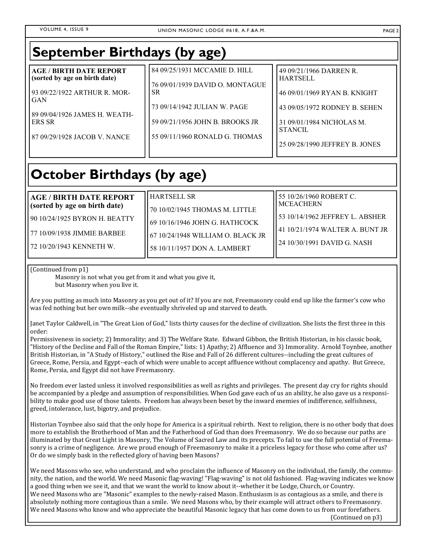| <b>September Birthdays (by age)</b>                                                                                                                                                             |                                                                                                                                                                                    |                                                                                                                                                                                              |  |
|-------------------------------------------------------------------------------------------------------------------------------------------------------------------------------------------------|------------------------------------------------------------------------------------------------------------------------------------------------------------------------------------|----------------------------------------------------------------------------------------------------------------------------------------------------------------------------------------------|--|
| <b>AGE / BIRTH DATE REPORT</b><br>(sorted by age on birth date)<br>93 09/22/1922 ARTHUR R. MOR-<br><b>GAN</b><br>89 09/04/1926 JAMES H. WEATH-<br><b>ERS SR</b><br>87 09/29/1928 JACOB V. NANCE | 84 09/25/1931 MCCAMIE D. HILL<br>76 09/01/1939 DAVID O. MONTAGUE<br><b>SR</b><br>73 09/14/1942 JULIAN W. PAGE<br>59 09/21/1956 JOHN B. BROOKS JR<br>55 09/11/1960 RONALD G. THOMAS | 49 09/21/1966 DARREN R.<br><b>HARTSELL</b><br>46 09/01/1969 RYAN B. KNIGHT<br>43 09/05/1972 RODNEY B. SEHEN<br>31 09/01/1984 NICHOLAS M.<br><b>STANCIL</b><br>25 09/28/1990 JEFFREY B. JONES |  |

# **October Birthdays (by age)**

#### **AGE / BIRTH DATE REPORT (sorted by age on birth date)**

90 10/24/1925 BYRON H. BEATTY

77 10/09/1938 JIMMIE BARBEE

72 10/20/1943 KENNETH W.

HARTSELL SR 70 10/02/1945 THOMAS M. LITTLE 69 10/16/1946 JOHN G. HATHCOCK 67 10/24/1948 WILLIAM O. BLACK JR

58 10/11/1957 DON A. LAMBERT

53 10/14/1962 JEFFREY L. ABSHER 41 10/21/1974 WALTER A. BUNT JR

55 10/26/1960 ROBERT C.

MCEACHERN

24 10/30/1991 DAVID G. NASH

(Continued from p1)

Masonry is not what you get from it and what you give it, but Masonry when you live it.

Are you putting as much into Masonry as you get out of it? If you are not, Freemasonry could end up like the farmer's cow who was fed nothing but her own milk--she eventually shriveled up and starved to death.

Janet Taylor Caldwell, in "The Great Lion of God," lists thirty causes for the decline of civilization. She lists the first three in this order: 

Permissiveness in society; 2) Immorality; and 3) The Welfare State. Edward Gibbon, the British Historian, in his classic book, "History of the Decline and Fall of the Roman Empire," lists: 1) Apathy; 2) Affluence and 3) Immorality. Arnold Toynbee, another British Historian, in "A Study of History," outlined the Rise and Fall of 26 different cultures--including the great cultures of Greece, Rome, Persia, and Egypt--each of which were unable to accept affluence without complacency and apathy. But Greece, Rome, Persia, and Egypt did not have Freemasonry.

No freedom ever lasted unless it involved responsibilities as well as rights and privileges. The present day cry for rights should be accompanied by a pledge and assumption of responsibilities. When God gave each of us an ability, he also gave us a responsibility to make good use of those talents. Freedom has always been beset by the inward enemies of indifference, selfishness, greed, intolerance, lust, bigotry, and prejudice.

Historian Toynbee also said that the only hope for America is a spiritual rebirth. Next to religion, there is no other body that does more to establish the Brotherhood of Man and the Fatherhood of God than does Freemasonry. We do so because our paths are illuminated by that Great Light in Masonry, The Volume of Sacred Law and its precepts. To fail to use the full potential of Freemasonry is a crime of negligence. Are we proud enough of Freemasonry to make it a priceless legacy for those who come after us? Or do we simply bask in the reflected glory of having been Masons?

We need Masons who see, who understand, and who proclaim the influence of Masonry on the individual, the family, the community, the nation, and the world. We need Masonic flag-waving! "Flag-waving" is not old fashioned. Flag-waving indicates we know a good thing when we see it, and that we want the world to know about it--whether it be Lodge, Church, or Country. We need Masons who are "Masonic" examples to the newly-raised Mason. Enthusiasm is as contagious as a smile, and there is absolutely nothing more contagious than a smile. We need Masons who, by their example will attract others to Freemasonry. We need Masons who know and who appreciate the beautiful Masonic legacy that has come down to us from our forefathers.

(Continued on p3)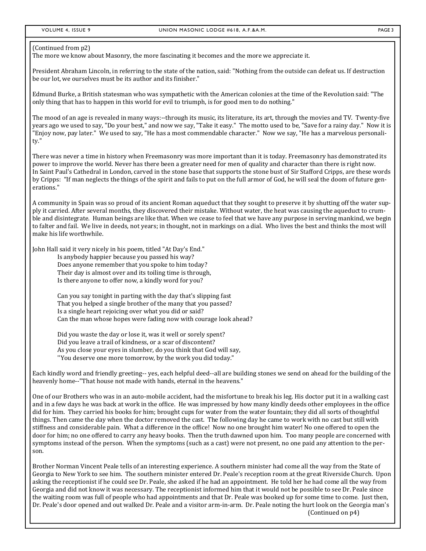#### (Continued from p2)

The more we know about Masonry, the more fascinating it becomes and the more we appreciate it.

President Abraham Lincoln, in referring to the state of the nation, said: "Nothing from the outside can defeat us. If destruction be our lot, we ourselves must be its author and its finisher."

Edmund Burke, a British statesman who was sympathetic with the American colonies at the time of the Revolution said: "The only thing that has to happen in this world for evil to triumph, is for good men to do nothing."

The mood of an age is revealed in many ways:--through its music, its literature, its art, through the movies and TV. Twenty-five years ago we used to say, "Do your best," and now we say, "Take it easy." The motto used to be, "Save for a rainy day." Now it is "Enjoy now, pay later." We used to say, "He has a most commendable character." Now we say, "He has a marvelous personality." 

There was never a time in history when Freemasonry was more important than it is today. Freemasonry has demonstrated its power to improve the world. Never has there been a greater need for men of quality and character than there is right now. In Saint Paul's Cathedral in London, carved in the stone base that supports the stone bust of Sir Stafford Cripps, are these words by Cripps: "If man neglects the things of the spirit and fails to put on the full armor of God, he will seal the doom of future generations." 

A community in Spain was so proud of its ancient Roman aqueduct that they sought to preserve it by shutting off the water supply it carried. After several months, they discovered their mistake. Without water, the heat was causing the aqueduct to crumble and disintegrate. Human beings are like that. When we cease to feel that we have any purpose in serving mankind, we begin to falter and fail. We live in deeds, not years; in thought, not in markings on a dial. Who lives the best and thinks the most will make his life worthwhile.

John Hall said it very nicely in his poem, titled "At Day's End."

Is anybody happier because you passed his way? Does anyone remember that you spoke to him today? Their day is almost over and its toiling time is through, Is there anyone to offer now, a kindly word for you?

Can you say tonight in parting with the day that's slipping fast That you helped a single brother of the many that you passed? Is a single heart rejoicing over what you did or said? Can the man whose hopes were fading now with courage look ahead?

Did you waste the day or lose it, was it well or sorely spent? Did you leave a trail of kindness, or a scar of discontent? As you close your eyes in slumber, do you think that God will say, "You deserve one more tomorrow, by the work you did today."

Each kindly word and friendly greeting-- yes, each helpful deed--all are building stones we send on ahead for the building of the heavenly home--"That house not made with hands, eternal in the heavens."

One of our Brothers who was in an auto-mobile accident, had the misfortune to break his leg. His doctor put it in a walking cast and in a few days he was back at work in the office. He was impressed by how many kindly deeds other employees in the office did for him. They carried his books for him; brought cups for water from the water fountain; they did all sorts of thoughtful things. Then came the day when the doctor removed the cast. The following day he came to work with no cast but still with stiffness and considerable pain. What a difference in the office! Now no one brought him water! No one offered to open the door for him; no one offered to carry any heavy books. Then the truth dawned upon him. Too many people are concerned with symptoms instead of the person. When the symptoms (such as a cast) were not present, no one paid any attention to the person. 

Brother Norman Vincent Peale tells of an interesting experience. A southern minister had come all the way from the State of Georgia to New York to see him. The southern minister entered Dr. Peale's reception room at the great Riverside Church. Upon asking the receptionist if he could see Dr. Peale, she asked if he had an appointment. He told her he had come all the way from Georgia and did not know it was necessary. The receptionist informed him that it would not be possible to see Dr. Peale since the waiting room was full of people who had appointments and that Dr. Peale was booked up for some time to come. Just then, Dr. Peale's door opened and out walked Dr. Peale and a visitor arm-in-arm. Dr. Peale noting the hurt look on the Georgia man's (Continued on p4)